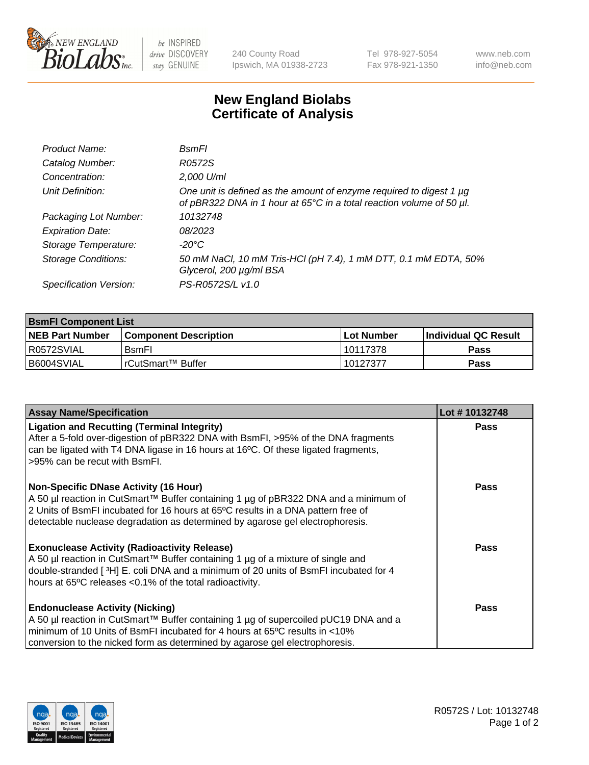

 $be$  INSPIRED drive DISCOVERY stay GENUINE

240 County Road Ipswich, MA 01938-2723 Tel 978-927-5054 Fax 978-921-1350 www.neb.com info@neb.com

## **New England Biolabs Certificate of Analysis**

| Product Name:              | <b>B</b> smFI                                                                                                                               |
|----------------------------|---------------------------------------------------------------------------------------------------------------------------------------------|
| Catalog Number:            | R0572S                                                                                                                                      |
| Concentration:             | 2,000 U/ml                                                                                                                                  |
| Unit Definition:           | One unit is defined as the amount of enzyme required to digest 1 µg<br>of pBR322 DNA in 1 hour at 65°C in a total reaction volume of 50 µl. |
| Packaging Lot Number:      | 10132748                                                                                                                                    |
| <b>Expiration Date:</b>    | 08/2023                                                                                                                                     |
| Storage Temperature:       | -20°C                                                                                                                                       |
| <b>Storage Conditions:</b> | 50 mM NaCl, 10 mM Tris-HCl (pH 7.4), 1 mM DTT, 0.1 mM EDTA, 50%<br>Glycerol, 200 µg/ml BSA                                                  |
| Specification Version:     | PS-R0572S/L v1.0                                                                                                                            |

| <b>BsmFI Component List</b> |                         |              |                             |  |
|-----------------------------|-------------------------|--------------|-----------------------------|--|
| <b>NEB Part Number</b>      | l Component Description | l Lot Number | <b>Individual QC Result</b> |  |
| I R0572SVIAL                | <b>B</b> smFI           | 10117378     | Pass                        |  |
| B6004SVIAL                  | l rCutSmart™ Buffer_    | 10127377     | Pass                        |  |

| <b>Assay Name/Specification</b>                                                                                                                                                                                                                                                                          | Lot #10132748 |
|----------------------------------------------------------------------------------------------------------------------------------------------------------------------------------------------------------------------------------------------------------------------------------------------------------|---------------|
| <b>Ligation and Recutting (Terminal Integrity)</b><br>After a 5-fold over-digestion of pBR322 DNA with BsmFI, >95% of the DNA fragments<br>can be ligated with T4 DNA ligase in 16 hours at 16°C. Of these ligated fragments,<br>>95% can be recut with BsmFI.                                           | <b>Pass</b>   |
| <b>Non-Specific DNase Activity (16 Hour)</b><br>A 50 µl reaction in CutSmart™ Buffer containing 1 µg of pBR322 DNA and a minimum of<br>2 Units of BsmFI incubated for 16 hours at 65°C results in a DNA pattern free of<br>detectable nuclease degradation as determined by agarose gel electrophoresis. | Pass          |
| <b>Exonuclease Activity (Radioactivity Release)</b><br>A 50 µl reaction in CutSmart™ Buffer containing 1 µg of a mixture of single and<br>double-stranded [3H] E. coli DNA and a minimum of 20 units of BsmFI incubated for 4<br>hours at 65°C releases <0.1% of the total radioactivity.                | Pass          |
| <b>Endonuclease Activity (Nicking)</b><br>A 50 µl reaction in CutSmart™ Buffer containing 1 µg of supercoiled pUC19 DNA and a<br>minimum of 10 Units of BsmFI incubated for 4 hours at 65 <sup>o</sup> C results in <10%<br>conversion to the nicked form as determined by agarose gel electrophoresis.  | Pass          |